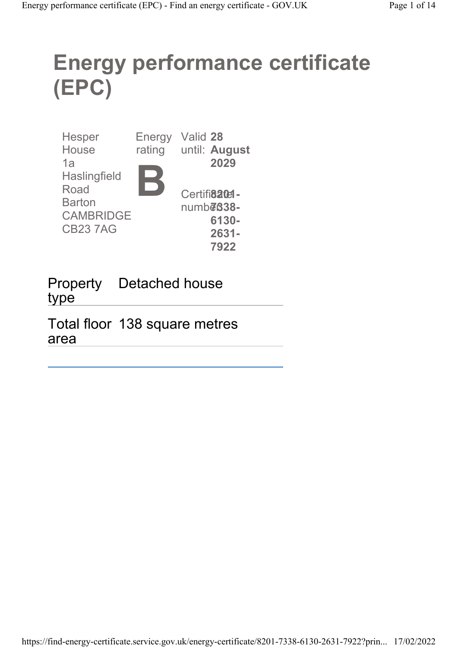# Energy performance certificate (EPC)

| <b>Hesper</b>       | Energy | Valid 28              |
|---------------------|--------|-----------------------|
| House<br>1a         | rating | until: August<br>2029 |
| <b>Haslingfield</b> |        |                       |
| Road                |        | Certifi820el-         |
| <b>Barton</b>       |        | $numb\bar{e}$ 838-    |
| <b>CAMBRIDGE</b>    |        | 6130-                 |
| <b>CB237AG</b>      |        | 2631-                 |
|                     |        | 7922                  |

Property Detached house type

Total floor 138 square metres area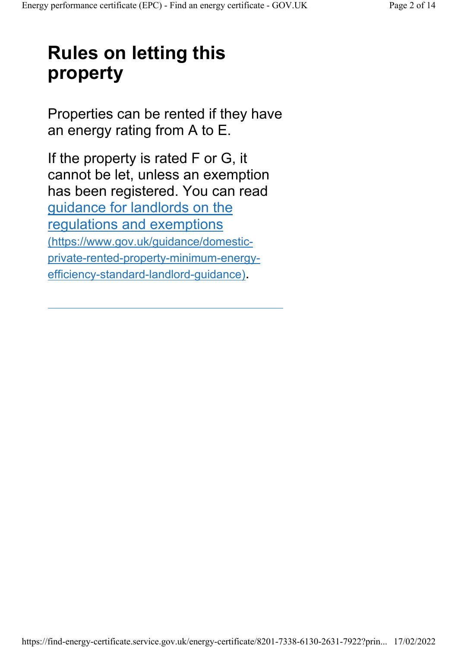# Rules on letting this property

Properties can be rented if they have an energy rating from A to E.

If the property is rated F or G, it cannot be let, unless an exemption has been registered. You can read guidance for landlords on the regulations and exemptions (https://www.gov.uk/guidance/domesticprivate-rented-property-minimum-energyefficiency-standard-landlord-guidance).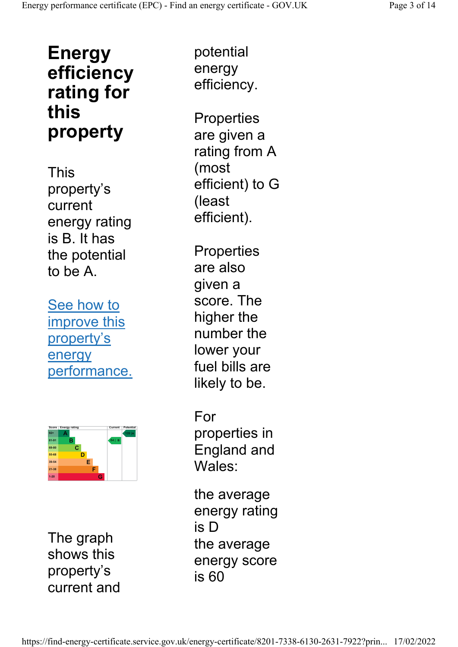# Energy efficiency rating for this property

This property's current energy rating is B. It has the potential to be A.

See how to improve this property's energy performance.



The graph shows this property's current and

potential energy efficiency.

**Properties** are given a rating from A (most efficient) to G (least efficient).

**Properties** are also given a score. The higher the number the lower your fuel bills are likely to be.

For properties in England and Wales:

the average energy rating is D the average energy score is 60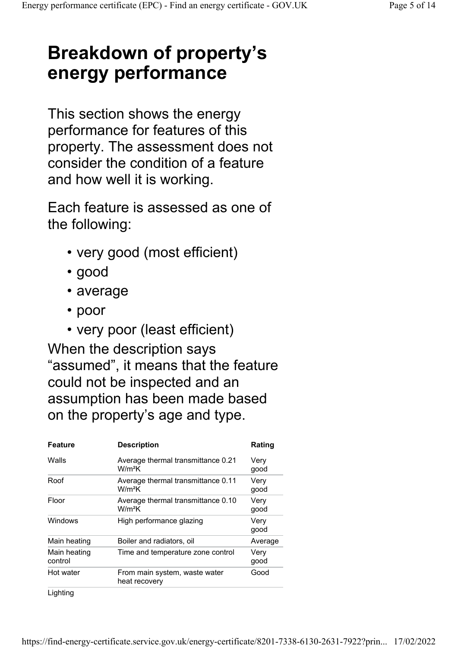# Breakdown of property's energy performance

This section shows the energy performance for features of this property. The assessment does not consider the condition of a feature and how well it is working.

Each feature is assessed as one of the following:

- very good (most efficient)
- good
- average
- poor
- very poor (least efficient)

When the description says "assumed", it means that the feature could not be inspected and an assumption has been made based on the property's age and type.

| <b>Feature</b>          | <b>Description</b>                                       | Rating       |
|-------------------------|----------------------------------------------------------|--------------|
| Walls                   | Average thermal transmittance 0.21<br>W/m <sup>2</sup> K | Very<br>good |
| Roof                    | Average thermal transmittance 0.11<br>W/m <sup>2</sup> K | Very<br>good |
| Floor                   | Average thermal transmittance 0.10<br>$W/m^2K$           | Very<br>good |
| Windows                 | High performance glazing                                 | Very<br>good |
| Main heating            | Boiler and radiators, oil                                | Average      |
| Main heating<br>control | Time and temperature zone control                        | Very<br>good |
| Hot water               | From main system, waste water<br>heat recovery           | Good         |
| Lighting                |                                                          |              |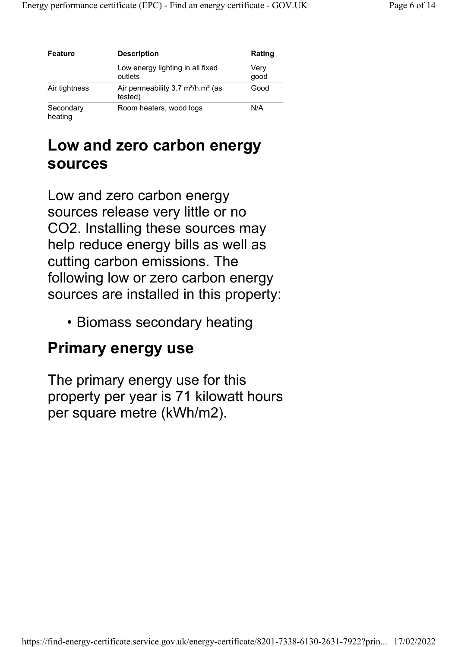| Feature              | <b>Description</b>                                                          | Rating       |
|----------------------|-----------------------------------------------------------------------------|--------------|
|                      | Low energy lighting in all fixed<br>outlets                                 | Very<br>good |
| Air tightness        | Air permeability $3.7 \text{ m}^3/\text{h} \cdot \text{m}^2$ (as<br>tested) | Good         |
| Secondary<br>heating | Room heaters, wood logs                                                     | N/A          |

### Low and zero carbon energy sources

Low and zero carbon energy sources release very little or no CO2. Installing these sources may help reduce energy bills as well as cutting carbon emissions. The following low or zero carbon energy sources are installed in this property:

• Biomass secondary heating

#### Primary energy use

The primary energy use for this property per year is 71 kilowatt hours per square metre (kWh/m2).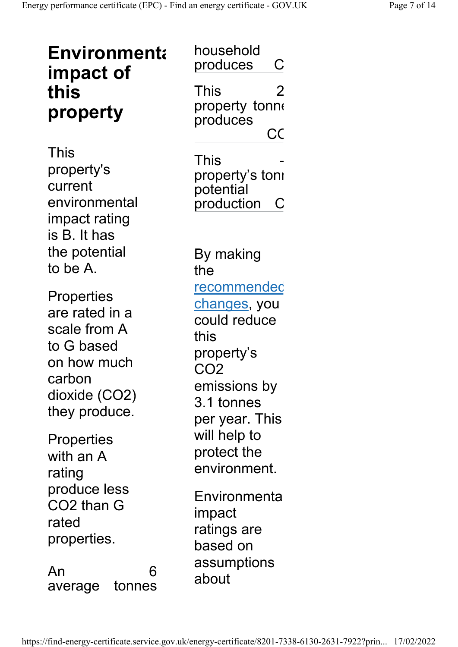| <b>Environmenta</b><br>impact of<br>this<br>property                                                                  | household<br>produces<br>С<br><b>This</b><br>2<br>property tonne<br>produces<br>СC                                                                 |
|-----------------------------------------------------------------------------------------------------------------------|----------------------------------------------------------------------------------------------------------------------------------------------------|
| This<br>property's<br>current<br>environmental<br>impact rating<br>is B. It has                                       | This<br>property's tonı<br>potential<br>production<br>$\mathsf{C}$                                                                                 |
| the potential<br>to be A.                                                                                             | By making<br>the                                                                                                                                   |
| Properties<br>are rated in a<br>scale from A<br>to G based<br>on how much<br>carbon<br>dioxide (CO2)<br>they produce. | <u>recommendec</u><br><u>changes,</u> you<br>could reduce<br>this<br>property's<br>CO <sub>2</sub><br>emissions by<br>3.1 tonnes<br>per year. This |
| Properties<br>with an A<br>rating                                                                                     | will help to<br>protect the<br>environment.                                                                                                        |
| produce less<br>CO2 than G<br>rated<br>properties.                                                                    | Environmenta<br>impact<br>ratings are<br>based on                                                                                                  |
| An<br>6<br>tonnes<br>average                                                                                          | assumptions<br>about                                                                                                                               |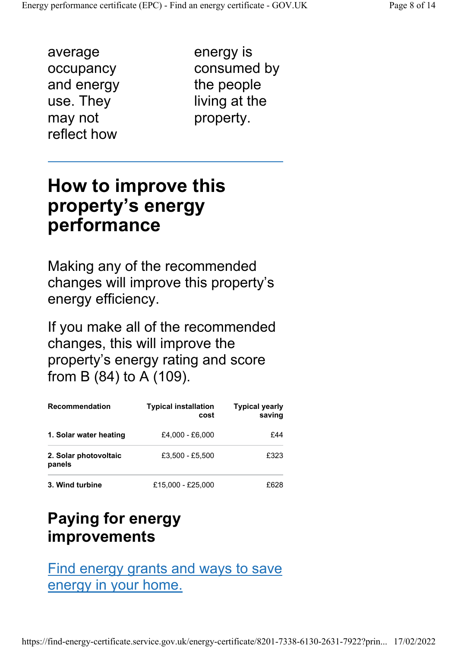average occupancy and energy use. They may not reflect how

energy is consumed by the people living at the property.

# How to improve this property's energy performance

Making any of the recommended changes will improve this property's energy efficiency.

If you make all of the recommended changes, this will improve the property's energy rating and score from B (84) to A (109).

| <b>Recommendation</b>           | <b>Typical installation</b><br>cost | <b>Typical yearly</b><br>saving |
|---------------------------------|-------------------------------------|---------------------------------|
| 1. Solar water heating          | £4.000 - £6.000                     | £44                             |
| 2. Solar photovoltaic<br>panels | £3,500 - £5,500                     | £323                            |
| 3. Wind turbine                 | £15,000 - £25,000                   | £628                            |

### Paying for energy improvements

#### Find energy grants and ways to save energy in your home.

https://find-energy-certificate.service.gov.uk/energy-certificate/8201-7338-6130-2631-7922?prin... 17/02/2022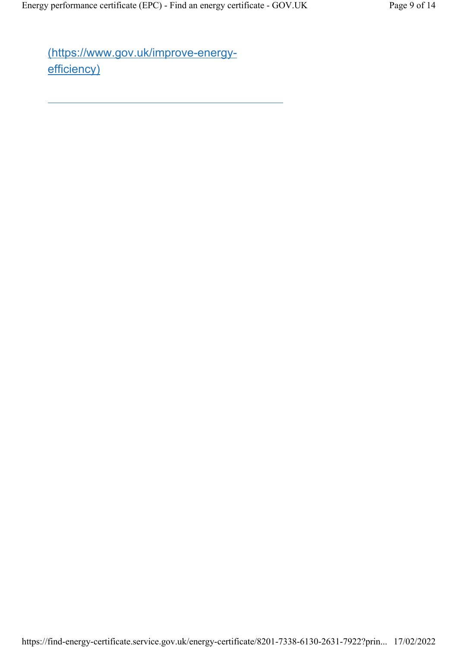(https://www.gov.uk/improve-energyefficiency)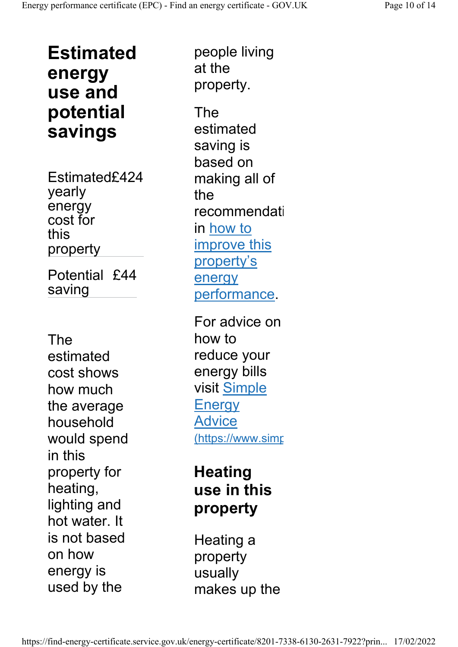Estimated energy use and potential savings

Estimated£424 yearly energy cost for this property Potential £44 saving

The estimated cost shows how much the average household would spend in this property for heating, lighting and hot water. It is not based on how energy is used by the

people living at the property. The estimated saving is based on making all of the recommendati in how to improve this property's

energy performance. For advice on how to reduce your energy bills visit Simple **Energy** Advice (https://www.simp

## **Heating** use in this property

Heating a property usually makes up the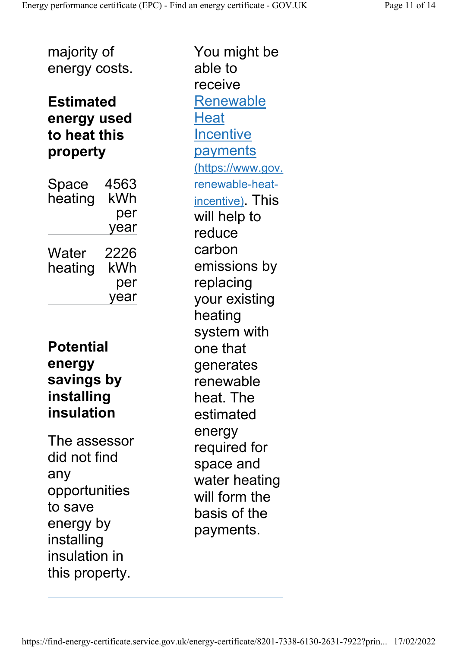#### Estimated energy used to heat this property

| Space<br>heating | 4563<br>kWh |
|------------------|-------------|
|                  | per         |
|                  | year        |
| Water            | 2226        |
| heating          | kWh         |
|                  | per         |
|                  | year        |

#### **Potential** energy savings by installing insulation

The assessor did not find any opportunities to save energy by installing insulation in this property.

You might be able to receive Renewable **Heat Incentive payments** (https://www.gov. renewable-heatincentive). This will help to reduce carbon emissions by replacing your existing heating system with one that generates renewable heat. The estimated energy required for space and water heating will form the basis of the payments.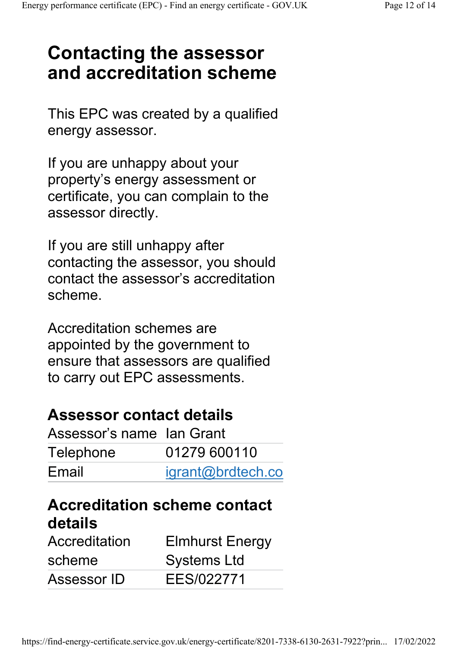# Contacting the assessor and accreditation scheme

This EPC was created by a qualified energy assessor.

If you are unhappy about your property's energy assessment or certificate, you can complain to the assessor directly.

If you are still unhappy after contacting the assessor, you should contact the assessor's accreditation scheme.

Accreditation schemes are appointed by the government to ensure that assessors are qualified to carry out EPC assessments.

### Assessor contact details

| Assessor's name Ian Grant |                   |
|---------------------------|-------------------|
| Telephone                 | 01279 600110      |
| Email                     | igrant@brdtech.co |

### Accreditation scheme contact details

| Accreditation | <b>Elmhurst Energy</b> |
|---------------|------------------------|
| scheme        | <b>Systems Ltd</b>     |
| Assessor ID   | EES/022771             |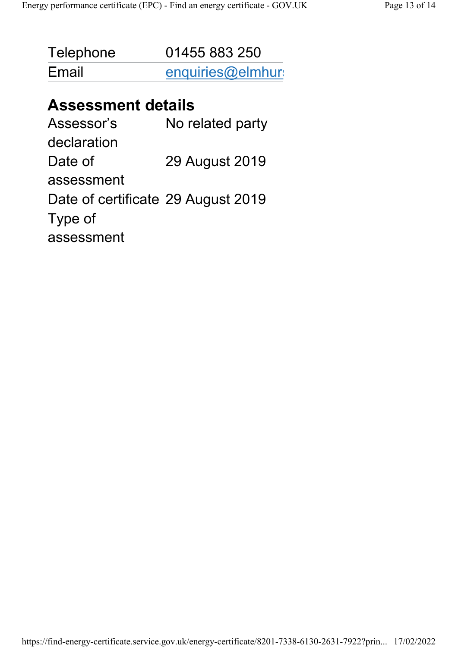| Telephone | 01455 883 250    |
|-----------|------------------|
| Email     | enquiries@elmhur |

#### Assessment details

| No related party                   |
|------------------------------------|
|                                    |
| 29 August 2019                     |
|                                    |
| Date of certificate 29 August 2019 |
|                                    |
|                                    |
|                                    |